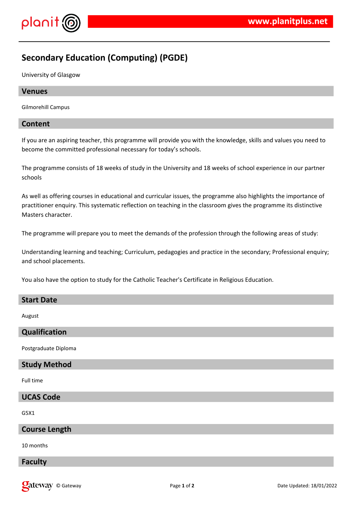

# **Secondary Education (Computing) (PGDE)**

University of Glasgow

## **Venues**

Gilmorehill Campus

## **Content**

If you are an aspiring teacher, this programme will provide you with the knowledge, skills and values you need to become the committed professional necessary for today's schools.

The programme consists of 18 weeks of study in the University and 18 weeks of school experience in our partner schools

As well as offering courses in educational and curricular issues, the programme also highlights the importance of practitioner enquiry. This systematic reflection on teaching in the classroom gives the programme its distinctive Masters character.

The programme will prepare you to meet the demands of the profession through the following areas of study:

Understanding learning and teaching; Curriculum, pedagogies and practice in the secondary; Professional enquiry; and school placements.

You also have the option to study for the Catholic Teacher's Certificate in Religious Education.

## **Start Date**

August

## **Qualification**

Postgraduate Diploma

## **Study Method**

Full time

## **UCAS Code**

G5X1

## **Course Length**

10 months

## **Faculty**

**Only 18 October 18/01/2022** Page 1 of 2 **Page 1 of 2** Date Updated: 18/01/2022